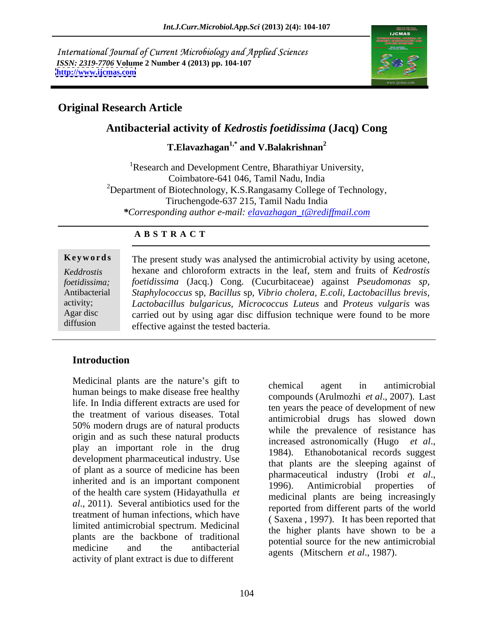International Journal of Current Microbiology and Applied Sciences *ISSN: 2319-7706* **Volume 2 Number 4 (2013) pp. 104-107 <http://www.ijcmas.com>**



# **Original Research Article**

# **Antibacterial activity of** *Kedrostis foetidissima* **(Jacq) Cong**

**T.Elavazhagan1,\* and V.Balakrishnan2**

<sup>1</sup>Research and Development Centre, Bharathiyar University, Coimbatore-641 046, Tamil Nadu, India  $2D$ epartment of Biotechnology, K.S.Rangasamy College of Technology, Tiruchengode-637 215, Tamil Nadu India *\*Corresponding author e-mail: elavazhagan\_t@rediffmail.com*

### **A B S T R A C T**

**Keywords** The present study was analysed the antimicrobial activity by using acetone, *Keddrostis* hexane and chloroform extracts in the leaf, stem and fruits of *Kedrostis foetidissima; foetidissima* (Jacq.) Cong. (Cucurbitaceae) against *Pseudomonas sp,* Antibacterial *Staphylococcus* sp*, Bacillus* sp*, Vibrio cholera, E.coli, Lactobacillus brevis,* activity; *Lactobacillus bulgaricus, Micrococcus Luteus* and *Proteus vulgaris* was Agar disc carried out by using agar disc diffusion technique were found to be more diffusion effective against the tested bacteria. The present study was analysed the antimicrobial activity by using acetone, hexane and chloroform extracts in the leaf, stem and fruits of *Kedrostis* 

# **Introduction**

.

Medicinal plants are the nature's gift to chemical agent in antimicrobial human beings to make disease free healthy life. In India different extracts are used for the treatment of various diseases. Total 50% modern drugs are of natural products origin and as such these natural products<br>increased astronomically (Hugo et al., play an important role in the drug 1984). Ethanobotanical records suggest development pharmaceutical industry. Use of plant as a source of medicine has been<br>pharmaceutical industry (Irobi  $et$  al., inherited and is an important component<br>1996). Antimicrobial properties of of the health care system (Hidayathulla *et al*., 2011). Several antibiotics used for the treatment of human infections, which have limited antimicrobial spectrum. Medicinal plants are the backbone of traditional medicine and the antibacterial agents (Mitschern *et al.*, 1987).<br>activity of plant extract is due to different

chemical agent in antimicrobial compounds (Arulmozhi *et al*., 2007). Last ten years the peace of development of new antimicrobial drugs has slowed down while the prevalence of resistance has increased astronomically (Hugo *et al*., 1984). Ethanobotanical records suggest that plants are the sleeping against of pharmaceutical industry (Irobi *et al*., 1996). Antimicrobial properties of medicinal plants are being increasingly reported from different parts of the world ( Saxena , 1997). It has been reported that the higher plants have shown to be a potential source for the new antimicrobial agents (Mitschern *et al*., 1987).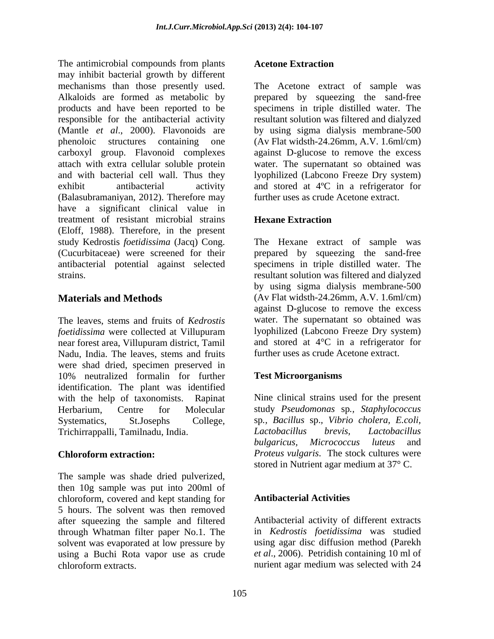The antimicrobial compounds from plants **Acetone Extraction** may inhibit bacterial growth by different mechanisms than those presently used. The Acetone extract of sample was Alkaloids are formed as metabolic by prepared by squeezing the sand-free products and have been reported to be specimens in triple distilled water. The responsible for the antibacterial activity resultant solution was filtered and dialyzed (Mantle *et al*., 2000). Flavonoids are by using sigma dialysis membrane-500 phenoloic structures containing one (Av Flat widsth-24.26mm, A.V. 1.6ml/cm) carboxyl group. Flavonoid complexes attach with extra cellular soluble protein water. The supernatant so obtained was and with bacterial cell wall. Thus they lyophilized (Labcono Freeze Dry system) exhibit antibacterial activity and stored at 4<sup>o</sup>C in a refrigerator for (Balasubramaniyan, 2012). Therefore may have a significant clinical value in treatment of resistant microbial strains **Hexane Extraction** (Eloff, 1988). Therefore, in the present study Kedrostis *foetidissima* (Jacq) Cong. The Hexane extract of sample was (Cucurbitaceae) were screened for their prepared by squeezing the sand-free antibacterial potential against selected

The leaves, stems and fruits of *Kedrostis*  water. The supernatant so obtained was *foetidissima* were collected at Villupuram near forest area, Villupuram district, Tamil Nadu, India. The leaves, stems and fruits were shad dried, specimen preserved in 10% neutralized formalin for further **Test Microorganisms** identification. The plant was identified<br>with the help of taxonomists. Rapinat with the help of taxonomists. Rapinat Nine clinical strains used for the present Herbarium, Centre for Molecular study *Pseudomonas* sp*., Staphylococcus* Systematics, St.Josephs College, sp*., Bacillus* sp.*, Vibrio cholera, E.coli,* Trichirrappalli, Tamilnadu, India.

The sample was shade dried pulverized, then 10g sample was put into 200ml of chloroform, covered and kept standing for 5 hours. The solvent was then removed after squeezing the sample and filtered through Whatman filter paper No.1. The solvent was evaporated at low pressure by using a Buchi Rota vapor use as crude chloroform extracts. nurient agar medium was selected with 24

### **Acetone Extraction**

against D-glucose to remove the excess further uses as crude Acetone extract.

## **Hexane Extraction**

strains. resultant solution was filtered and dialyzed **Materials and Methods** (Av Flat widsth-24.26mm, A.V. 1.6ml/cm) The Hexane extract of sample was prepared by squeezing the sand-free specimens in triple distilled water. The by using sigma dialysis membrane-500 against D-glucose to remove the excess lyophilized (Labcono Freeze Dry system) and stored at 4°C in a refrigerator for further uses as crude Acetone extract.

### **Test Microorganisms**

**Chloroform extraction:** *Proteus vulgaris*. The stock cultures were *Lactobacillus brevis, Lactobacillus bulgaricus, Micrococcus luteus* and stored in Nutrient agar medium at 37° C.

### **Antibacterial Activities**

Antibacterial activity of different extracts in *Kedrostis foetidissima* was studied using agar disc diffusion method (Parekh *et al*., 2006). Petridish containing 10 ml of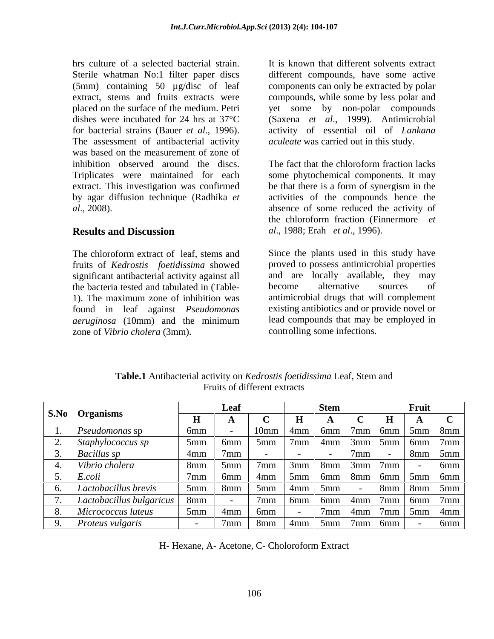hrs culture of a selected bacterial strain. It is known that different solvents extract Sterile whatman No:1 filter paper discs different compounds, have some active (5mm) containing 50 µg/disc of leaf extract, stems and fruits extracts were compounds, while some by less polar and placed on the surface of the medium. Petri yet some by non-polar compounds dishes were incubated for 24 hrs at 37°C (Saxena *et al*., 1999). Antimicrobial for bacterial strains (Bauer *et al.*, 1996). activity of essential oil of *Lankana*<br>The assessment of antibacterial activity *aculeate* was carried out in this study. was based on the measurement of zone of inhibition observed around the discs. The fact that the chloroform fraction lacks Triplicates were maintained for each some phytochemical components. It may extract. This investigation was confirmed be that there is a form of synergism in the by agar diffusion technique (Radhika *et*  activities of the compounds hence the *al*., 2008). absence of some reduced the activity of

fruits of *Kedrostis foetidissima* showed significant antibacterial activity against all and are locally available, they may<br>the bacteria tested and tabulated in (Table-<br>become alternative sources of the bacteria tested and tabulated in (Table found in leaf against *Pseudomonas*  zone of *Vibrio cholera* (3mm).

components can only be extracted by polar activity of essential oil of *Lankana aculeate* was carried out in this study*.*

**Results and Discussion**  *al*., 1988; Erah *et al*., 1996). The fact that the chloroform fraction lacks the chloroform fraction (Finnermore *et* 

The chloroform extract of leaf, stems and Since the plants used in this study have 1). The maximum zone of inhibition was *aeruginosa* (10mm) and the minimum proved to possess antimicrobial properties and are locally available, they may become alternative sources of antimicrobial drugs that will complement existing antibiotics and or provide novel or lead compounds that may be employed in controlling some infections.

|  | <b>S.No Organisms</b>                    | Leaf            |                    |                           |                                         | <b>Stem</b> |                                                                                       | Fruit                 |  |           |  |
|--|------------------------------------------|-----------------|--------------------|---------------------------|-----------------------------------------|-------------|---------------------------------------------------------------------------------------|-----------------------|--|-----------|--|
|  |                                          |                 |                    |                           |                                         |             |                                                                                       |                       |  |           |  |
|  | <i>Pseudomonas</i> sp                    | 6mm             |                    | 10mm                      |                                         |             | $\vert$ 4mm $\vert$ 6mm $\vert$ 7mm $\vert$ 6mm $\vert$ 5mm $\vert$ 8mm               |                       |  |           |  |
|  | Staphylococcus sp                        | 5mm             |                    | 5mm                       |                                         | $\mid$ 4mm  | $\frac{3}{\text{mm}}$ 3mm $\frac{5}{\text{mm}}$ 6mm $\frac{7}{\text{mm}}$             |                       |  |           |  |
|  | <b>Bacillus</b> sp                       | 4 <sub>mm</sub> |                    |                           |                                         |             | $7 \text{mm}$                                                                         |                       |  | $8mm$ 5mm |  |
|  | Vibrio cholera                           | 8mm             | 5mm                |                           |                                         |             | $\frac{1}{2}$ 7mm   3mm   8mm   3mm   7mm <sub> </sub>                                |                       |  | 6mm       |  |
|  | E.col <sub>l</sub>                       |                 |                    | 4mm                       | $\mid$ 5mm $\mid$ 6mm $\mid$ 8mm $\mid$ |             |                                                                                       | $6mm$ 5mm 6mm         |  |           |  |
|  | Lactobacillus brevis                     | 5mm             | $\blacksquare$ 8mm | $5 \text{mm}$   4mm   5mm |                                         |             |                                                                                       | $8mm$   $8mm$   $5mm$ |  |           |  |
|  | $\vert$ Lactobacillus bulgaricus $\vert$ | 8mm             |                    |                           |                                         |             | $\lceil 6mm \rceil$ 6mm $\lceil 4mm \rceil$ 7mm $\lceil 6mm \rceil$ 7mm               |                       |  |           |  |
|  | Micrococcus luteus                       | 5mm             | 4mm                | 6mm                       |                                         |             | $7 \text{mm}$   4mm   7mm   5mm   4mm                                                 |                       |  |           |  |
|  | $\mid$ Proteus vulgaris                  |                 | /mm                | 8mm                       |                                         |             | $\frac{1}{2}$ 4mm $\frac{1}{2}$ 5mm $\frac{1}{2}$ 7mm $\frac{1}{2}$ 6mm $\frac{1}{2}$ |                       |  | 6mm       |  |

**Table.1** Antibacterial activity on *Kedrostis foetidissima* Leaf, Stem and Fruits of different extracts

H- Hexane, A- Acetone, C- Choloroform Extract